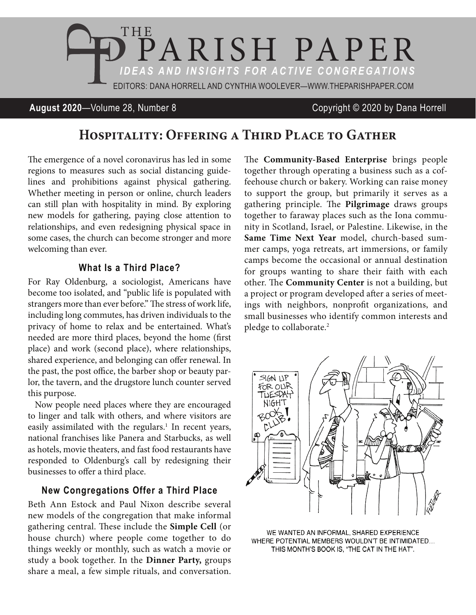

## **August 2020**—Volume 28, Number 8 Copyright © 2020 by Dana Horrell

# **Hospitality: Offering a Third Place to Gather**

The emergence of a novel coronavirus has led in some regions to measures such as social distancing guidelines and prohibitions against physical gathering. Whether meeting in person or online, church leaders can still plan with hospitality in mind. By exploring new models for gathering, paying close attention to relationships, and even redesigning physical space in some cases, the church can become stronger and more welcoming than ever.

## **What Is a Third Place?**

For Ray Oldenburg, a sociologist, Americans have become too isolated, and "public life is populated with strangers more than ever before." The stress of work life, including long commutes, has driven individuals to the privacy of home to relax and be entertained. What's needed are more third places, beyond the home (first place) and work (second place), where relationships, shared experience, and belonging can offer renewal. In the past, the post office, the barber shop or beauty parlor, the tavern, and the drugstore lunch counter served this purpose.

Now people need places where they are encouraged to linger and talk with others, and where visitors are easily assimilated with the regulars.<sup>1</sup> In recent years, national franchises like Panera and Starbucks, as well as hotels, movie theaters, and fast food restaurants have responded to Oldenburg's call by redesigning their businesses to offer a third place.

### **New Congregations Offer a Third Place**

Beth Ann Estock and Paul Nixon describe several new models of the congregation that make informal gathering central. These include the **Simple Cell** (or house church) where people come together to do things weekly or monthly, such as watch a movie or study a book together. In the **Dinner Party,** groups share a meal, a few simple rituals, and conversation.

The **Community-Based Enterprise** brings people together through operating a business such as a coffeehouse church or bakery. Working can raise money to support the group, but primarily it serves as a gathering principle. The **Pilgrimage** draws groups together to faraway places such as the Iona community in Scotland, Israel, or Palestine. Likewise, in the **Same Time Next Year** model, church-based summer camps, yoga retreats, art immersions, or family camps become the occasional or annual destination for groups wanting to share their faith with each other. The **Community Center** is not a building, but a project or program developed after a series of meetings with neighbors, nonprofit organizations, and small businesses who identify common interests and pledge to collaborate.<sup>2</sup>



WE WANTED AN INFORMAL, SHARED EXPERIENCE WHERE POTENTIAL MEMBERS WOULDN'T BE INTIMIDATED... THIS MONTH'S BOOK IS, "THE CAT IN THE HAT".